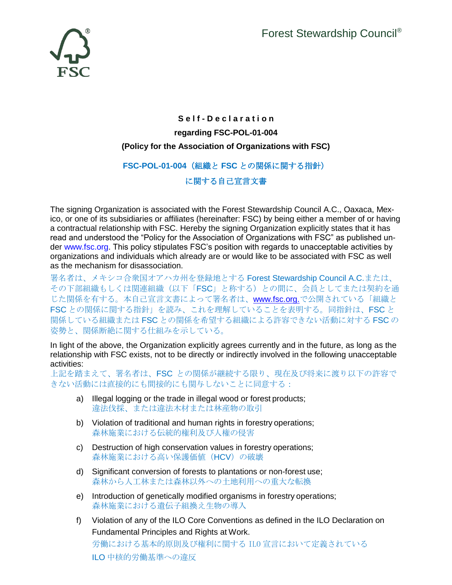

## **S e l f - D e c l a r a t i o n regarding FSC-POL-01-004 (Policy for the Association of Organizations with FSC)**

## **FSC-POL-01-004**(組織と **FSC** との関係に関する指針)

## に関する自己宣言文書

The signing Organization is associated with the Forest Stewardship Council A.C., Oaxaca, Mexico, or one of its subsidiaries or affiliates (hereinafter: FSC) by being either a member of or having a contractual relationship with FSC. Hereby the signing Organization explicitly states that it has read and understood the "Policy for the Association of Organizations with FSC" as published under [www.fsc.org.](http://www.fsc.org/) This policy stipulates FSC's position with regards to unacceptable activities by organizations and individuals which already are or would like to be associated with FSC as well as the mechanism for disassociation.

署名者は、メキシコ合衆国オアハカ州を登録地とする Forest Stewardship Council A.C.または、 その下部組織もしくは関連組織(以下「FSC」と称する)との間に、会員としてまたは契約を通 じた関係を有する。本自己宣言文書によって署名者は、[www.fsc.org.](http://www.fsc.org./)で公開されている「組織と FSC との関係に関する指針」を読み、これを理解していることを表明する。同指針は、FSC と 関係している組織または FSC との関係を希望する組織による許容できない活動に対する FSC の 姿勢と、関係断絶に関する仕組みを示している。

In light of the above, the Organization explicitly agrees currently and in the future, as long as the relationship with FSC exists, not to be directly or indirectly involved in the following unacceptable activities:

上記を踏まえて、署名者は、FSC との関係が継続する限り、現在及び将来に渡り以下の許容で きない活動には直接的にも間接的にも関与しないことに同意する:

- a) Illegal logging or the trade in illegal wood or forest products; 違法伐採、または違法木材または林産物の取引
- b) Violation of traditional and human rights in forestry operations; 森林施業における伝統的権利及び人権の侵害
- c) Destruction of high conservation values in forestry operations; 森林施業における高い保護価値 (HCV)の破壊
- d) Significant conversion of forests to plantations or non-forest use; 森林から人工林または森林以外への土地利用への重大な転換
- e) Introduction of genetically modified organisms in forestry operations; 森林施業における遺伝子組換え生物の導入
- f) Violation of any of the ILO Core Conventions as defined in the ILO Declaration on Fundamental Principles and Rights at Work. 労働における基本的原則及び権利に関する ILO 宣言において定義されている ILO 中核的労働基準への違反